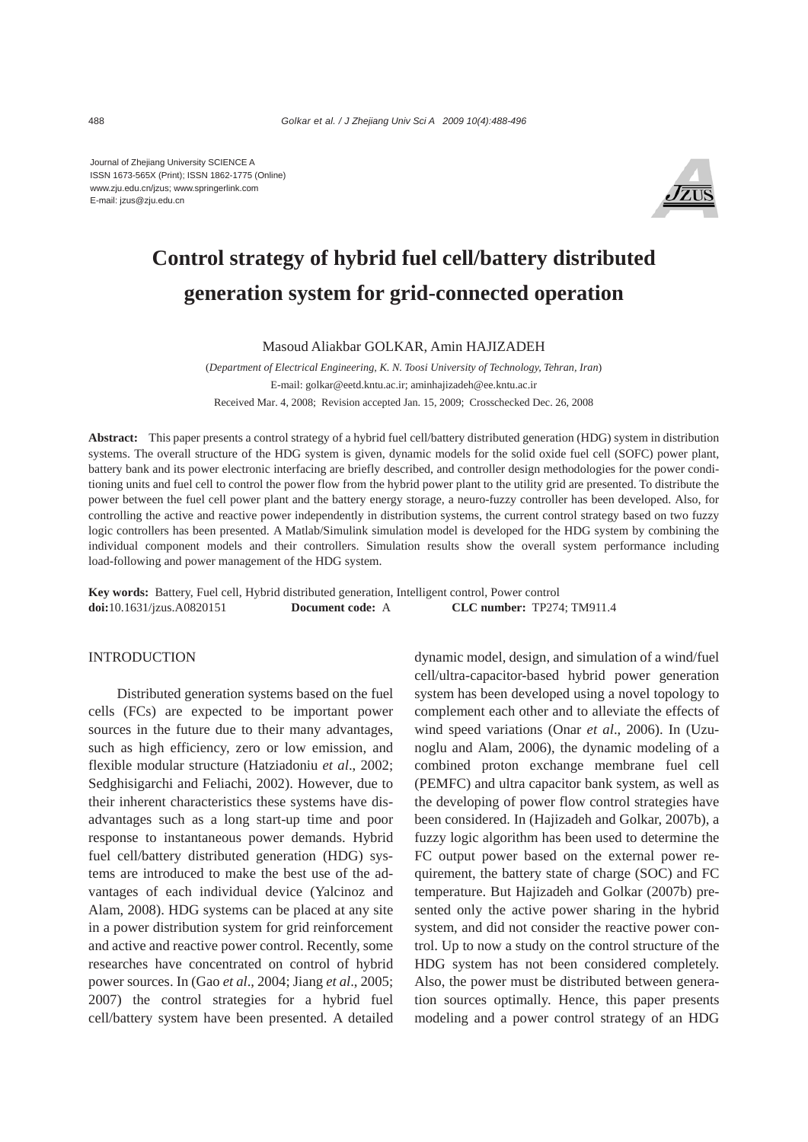Journal of Zhejiang University SCIENCE A ISSN 1673-565X (Print); ISSN 1862-1775 (Online) www.zju.edu.cn/jzus; www.springerlink.com E-mail: jzus@zju.edu.cn



# **Control strategy of hybrid fuel cell/battery distributed generation system for grid-connected operation**

Masoud Aliakbar GOLKAR, Amin HAJIZADEH

(*Department of Electrical Engineering, K. N. Toosi University of Technology, Tehran, Iran*) E-mail: golkar@eetd.kntu.ac.ir; aminhajizadeh@ee.kntu.ac.ir Received Mar. 4, 2008; Revision accepted Jan. 15, 2009; Crosschecked Dec. 26, 2008

**Abstract:** This paper presents a control strategy of a hybrid fuel cell/battery distributed generation (HDG) system in distribution systems. The overall structure of the HDG system is given, dynamic models for the solid oxide fuel cell (SOFC) power plant, battery bank and its power electronic interfacing are briefly described, and controller design methodologies for the power conditioning units and fuel cell to control the power flow from the hybrid power plant to the utility grid are presented. To distribute the power between the fuel cell power plant and the battery energy storage, a neuro-fuzzy controller has been developed. Also, for controlling the active and reactive power independently in distribution systems, the current control strategy based on two fuzzy logic controllers has been presented. A Matlab/Simulink simulation model is developed for the HDG system by combining the individual component models and their controllers. Simulation results show the overall system performance including load-following and power management of the HDG system.

**Key words:** Battery, Fuel cell, Hybrid distributed generation, Intelligent control, Power control **doi:**10.1631/jzus.A0820151 **Document code:** A **CLC number:** TP274; TM911.4

#### INTRODUCTION

Distributed generation systems based on the fuel cells (FCs) are expected to be important power sources in the future due to their many advantages, such as high efficiency, zero or low emission, and flexible modular structure (Hatziadoniu *et al*., 2002; Sedghisigarchi and Feliachi, 2002). However, due to their inherent characteristics these systems have disadvantages such as a long start-up time and poor response to instantaneous power demands. Hybrid fuel cell/battery distributed generation (HDG) systems are introduced to make the best use of the advantages of each individual device (Yalcinoz and Alam, 2008). HDG systems can be placed at any site in a power distribution system for grid reinforcement and active and reactive power control. Recently, some researches have concentrated on control of hybrid power sources. In (Gao *et al*., 2004; Jiang *et al*., 2005; 2007) the control strategies for a hybrid fuel cell/battery system have been presented. A detailed dynamic model, design, and simulation of a wind/fuel cell/ultra-capacitor-based hybrid power generation system has been developed using a novel topology to complement each other and to alleviate the effects of wind speed variations (Onar *et al*., 2006). In (Uzunoglu and Alam, 2006), the dynamic modeling of a combined proton exchange membrane fuel cell (PEMFC) and ultra capacitor bank system, as well as the developing of power flow control strategies have been considered. In (Hajizadeh and Golkar, 2007b), a fuzzy logic algorithm has been used to determine the FC output power based on the external power requirement, the battery state of charge (SOC) and FC temperature. But Hajizadeh and Golkar (2007b) presented only the active power sharing in the hybrid system, and did not consider the reactive power control. Up to now a study on the control structure of the HDG system has not been considered completely. Also, the power must be distributed between generation sources optimally. Hence, this paper presents modeling and a power control strategy of an HDG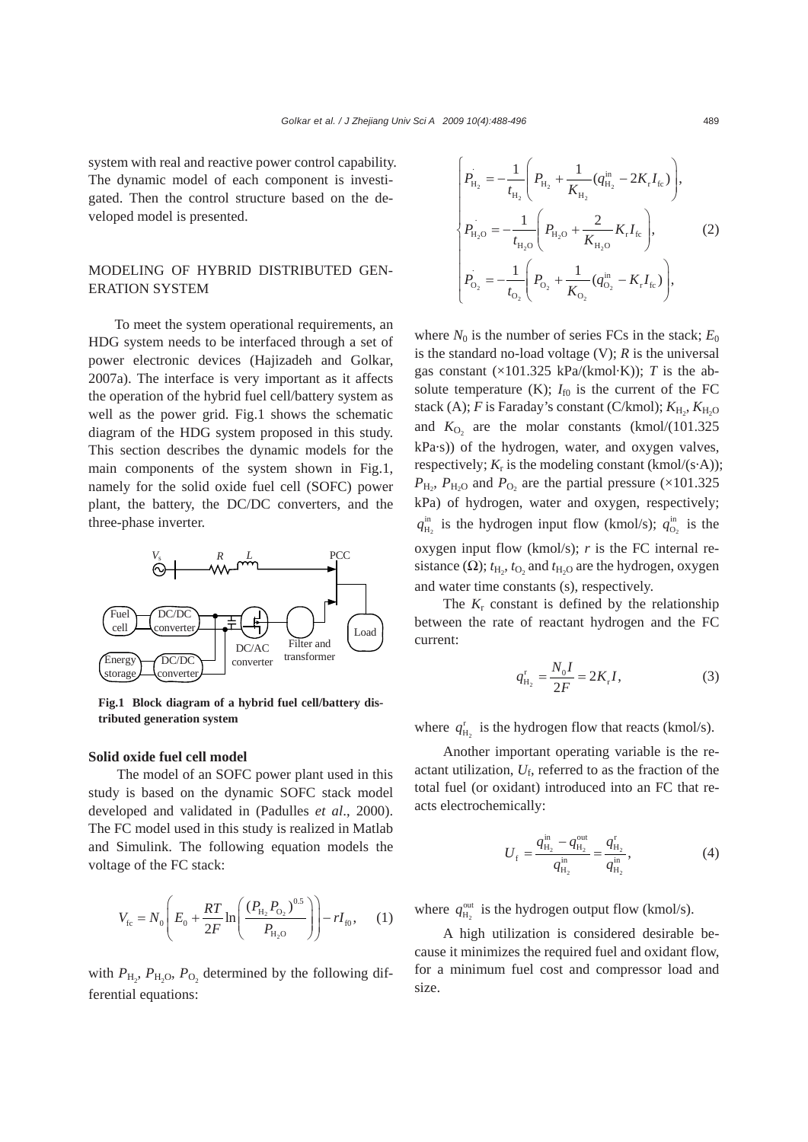system with real and reactive power control capability. The dynamic model of each component is investigated. Then the control structure based on the developed model is presented.

# MODELING OF HYBRID DISTRIBUTED GEN-ERATION SYSTEM

To meet the system operational requirements, an HDG system needs to be interfaced through a set of power electronic devices (Hajizadeh and Golkar, 2007a). The interface is very important as it affects the operation of the hybrid fuel cell/battery system as well as the power grid. Fig.1 shows the schematic diagram of the HDG system proposed in this study. This section describes the dynamic models for the main components of the system shown in Fig.1, namely for the solid oxide fuel cell (SOFC) power plant, the battery, the DC/DC converters, and the three-phase inverter.



**Fig.1 Block diagram of a hybrid fuel cell/battery distributed generation system** 

#### **Solid oxide fuel cell model**

The model of an SOFC power plant used in this study is based on the dynamic SOFC stack model developed and validated in (Padulles *et al*., 2000). The FC model used in this study is realized in Matlab and Simulink. The following equation models the voltage of the FC stack:

$$
V_{\rm fc} = N_0 \left( E_0 + \frac{RT}{2F} \ln \left( \frac{(P_{\rm H_2} P_{\rm O_2})^{0.5}}{P_{\rm H_2O}} \right) \right) - rI_{\rm f0}, \quad (1)
$$

with  $P_{\text{H}_2}$ ,  $P_{\text{H}_2\text{O}}$ ,  $P_{\text{O}_2}$  determined by the following differential equations:

$$
\begin{cases}\nP_{\text{H}_{2}} = -\frac{1}{t_{\text{H}_{2}}} \left( P_{\text{H}_{2}} + \frac{1}{K_{\text{H}_{2}}} (q_{\text{H}_{2}}^{\text{in}} - 2K_{\text{r}} I_{\text{fc}}) \right), \\
P_{\text{H}_{2}\text{O}} = -\frac{1}{t_{\text{H}_{2}\text{O}}} \left( P_{\text{H}_{2}\text{O}} + \frac{2}{K_{\text{H}_{2}\text{O}}} K_{\text{r}} I_{\text{fc}} \right), \\
P_{\text{O}_{2}} = -\frac{1}{t_{\text{O}_{2}}} \left( P_{\text{O}_{2}} + \frac{1}{K_{\text{O}_{2}}} (q_{\text{O}_{2}}^{\text{in}} - K_{\text{r}} I_{\text{fc}}) \right),\n\end{cases} (2)
$$

where  $N_0$  is the number of series FCs in the stack;  $E_0$ is the standard no-load voltage (V); *R* is the universal gas constant  $(\times 101.325 \text{ kPa/(kmol·K)});$  *T* is the absolute temperature  $(K)$ ;  $I_{f0}$  is the current of the FC stack (A); *F* is Faraday's constant (C/kmol);  $K_{\text{H}_2}$ ,  $K_{\text{H}_2\text{O}}$ and  $K_{\text{O}_2}$  are the molar constants (kmol/(101.325) kPa·s)) of the hydrogen, water, and oxygen valves, respectively;  $K_r$  is the modeling constant (kmol/(s·A));  $P_{\text{H}_2}$ ,  $P_{\text{H}_2\text{O}}$  and  $P_{\text{O}_2}$  are the partial pressure (×101.325) kPa) of hydrogen, water and oxygen, respectively;  $q_{\text{H}_2}^{\text{in}}$  is the hydrogen input flow (kmol/s);  $q_{\text{O}_2}^{\text{in}}$  is the oxygen input flow (kmol/s);  $r$  is the FC internal resistance ( $\Omega$ );  $t_{\text{H}_2}$ ,  $t_{\text{O}_2}$  and  $t_{\text{H}_2\text{O}}$  are the hydrogen, oxygen and water time constants (s), respectively.

The  $K_r$  constant is defined by the relationship between the rate of reactant hydrogen and the FC current:

$$
q_{\rm H_2}^{\rm r} = \frac{N_0 I}{2F} = 2K_{\rm r}I,\tag{3}
$$

where  $q_{\text{H}_2}^{\text{r}}$  is the hydrogen flow that reacts (kmol/s).

Another important operating variable is the reactant utilization,  $U_f$ , referred to as the fraction of the total fuel (or oxidant) introduced into an FC that reacts electrochemically:

$$
U_{\rm f} = \frac{q_{\rm H_2}^{\rm in} - q_{\rm H_2}^{\rm out}}{q_{\rm H_2}^{\rm in}} = \frac{q_{\rm H_2}^{\rm r}}{q_{\rm H_2}^{\rm in}},\tag{4}
$$

where  $q_{\text{H}_2}^{\text{out}}$  is the hydrogen output flow (kmol/s).

A high utilization is considered desirable because it minimizes the required fuel and oxidant flow, for a minimum fuel cost and compressor load and size.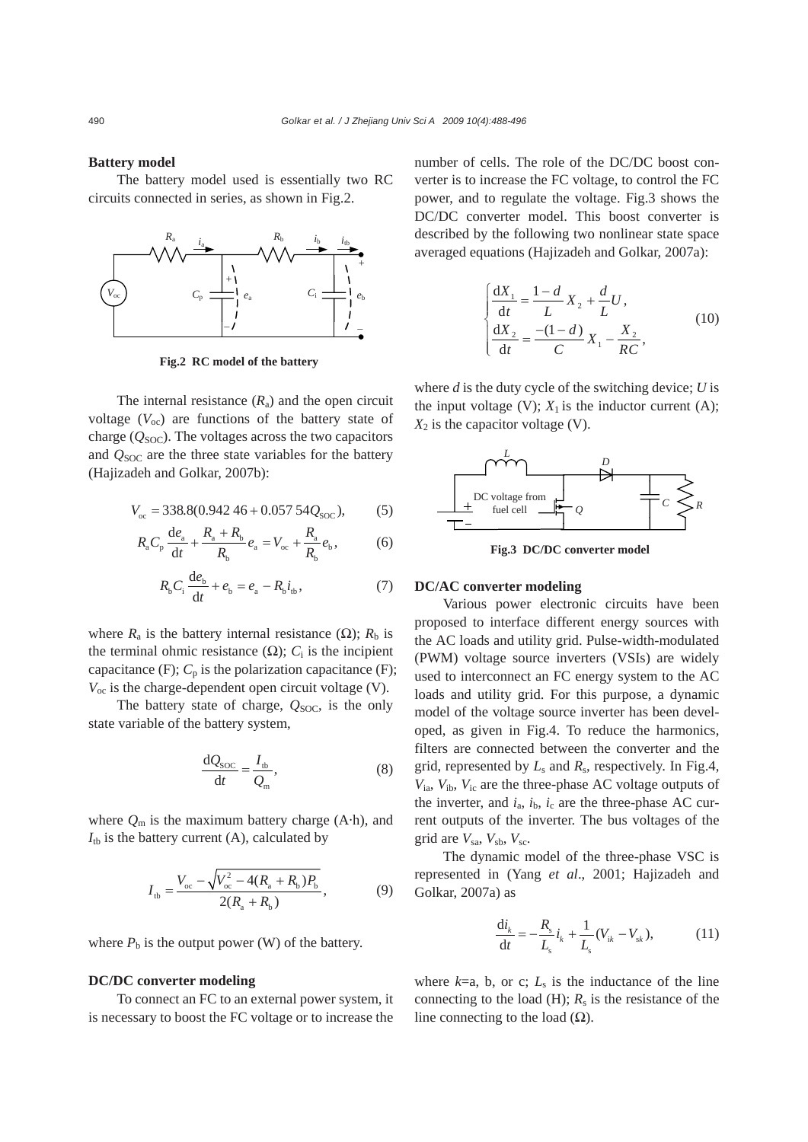#### **Battery model**

The battery model used is essentially two RC circuits connected in series, as shown in Fig.2.



**Fig.2 RC model of the battery** 

The internal resistance  $(R_a)$  and the open circuit voltage  $(V_{oc})$  are functions of the battery state of charge  $(Q<sub>SOC</sub>)$ . The voltages across the two capacitors and  $Q_{\text{SOC}}$  are the three state variables for the battery (Hajizadeh and Golkar, 2007b):

$$
V_{\text{oc}} = 338.8(0.942\,46 + 0.057\,54Q_{\text{SOC}}),\tag{5}
$$

$$
R_{\rm a}C_{\rm p}\frac{\rm d e_{\rm a}}{\rm d t}+\frac{R_{\rm a}+R_{\rm b}}{R_{\rm b}}e_{\rm a}=V_{\rm oc}+\frac{R_{\rm a}}{R_{\rm b}}e_{\rm b},\qquad(6)
$$

$$
R_{\rm b}C_{\rm i}\frac{d e_{\rm b}}{dt} + e_{\rm b} = e_{\rm a} - R_{\rm b}i_{\rm tb},\tag{7}
$$

where  $R_a$  is the battery internal resistance ( $\Omega$ );  $R_b$  is the terminal ohmic resistance  $(\Omega)$ ;  $C_i$  is the incipient capacitance (F);  $C_p$  is the polarization capacitance (F);  $V_{\text{oc}}$  is the charge-dependent open circuit voltage (V).

The battery state of charge,  $Q_{SOC}$ , is the only state variable of the battery system,

$$
\frac{\mathrm{d}Q_{\text{SOC}}}{\mathrm{d}t} = \frac{I_{\text{tb}}}{Q_{\text{m}}},\tag{8}
$$

where  $Q_m$  is the maximum battery charge  $(A \cdot h)$ , and  $I_{tb}$  is the battery current (A), calculated by

$$
I_{\text{tb}} = \frac{V_{\text{oc}} - \sqrt{V_{\text{oc}}^2 - 4(R_{\text{a}} + R_{\text{b}})P_{\text{b}}}}{2(R_{\text{a}} + R_{\text{b}})},
$$
(9)

where  $P_b$  is the output power (W) of the battery.

#### **DC/DC converter modeling**

To connect an FC to an external power system, it is necessary to boost the FC voltage or to increase the number of cells. The role of the DC/DC boost converter is to increase the FC voltage, to control the FC power, and to regulate the voltage. Fig.3 shows the DC/DC converter model. This boost converter is described by the following two nonlinear state space averaged equations (Hajizadeh and Golkar, 2007a):

$$
\begin{cases}\n\frac{dX_1}{dt} = \frac{1-d}{L} X_2 + \frac{d}{L} U, \\
\frac{dX_2}{dt} = \frac{-(1-d)}{C} X_1 - \frac{X_2}{RC},\n\end{cases}
$$
\n(10)

where *d* is the duty cycle of the switching device; *U* is the input voltage (V);  $X_1$  is the inductor current (A);  $X_2$  is the capacitor voltage (V).



**Fig.3 DC/DC converter model** 

## **DC/AC converter modeling**

Various power electronic circuits have been proposed to interface different energy sources with the AC loads and utility grid. Pulse-width-modulated (PWM) voltage source inverters (VSIs) are widely used to interconnect an FC energy system to the AC loads and utility grid. For this purpose, a dynamic model of the voltage source inverter has been developed, as given in Fig.4. To reduce the harmonics, filters are connected between the converter and the grid, represented by *L*s and *R*s, respectively. In Fig.4,  $V_{\text{ia}}$ ,  $V_{\text{ib}}$ ,  $V_{\text{ic}}$  are the three-phase AC voltage outputs of the inverter, and  $i_a$ ,  $i_b$ ,  $i_c$  are the three-phase AC current outputs of the inverter. The bus voltages of the grid are  $V_{\text{sa}}$ ,  $V_{\text{sb}}$ ,  $V_{\text{sc}}$ .

The dynamic model of the three-phase VSC is represented in (Yang *et al*., 2001; Hajizadeh and Golkar, 2007a) as

$$
\frac{di_k}{dt} = -\frac{R_s}{L_s}i_k + \frac{1}{L_s}(V_{ik} - V_{sk}),
$$
 (11)

where  $k=a$ , b, or c;  $L<sub>s</sub>$  is the inductance of the line connecting to the load  $(H)$ ;  $R_s$  is the resistance of the line connecting to the load  $(\Omega)$ .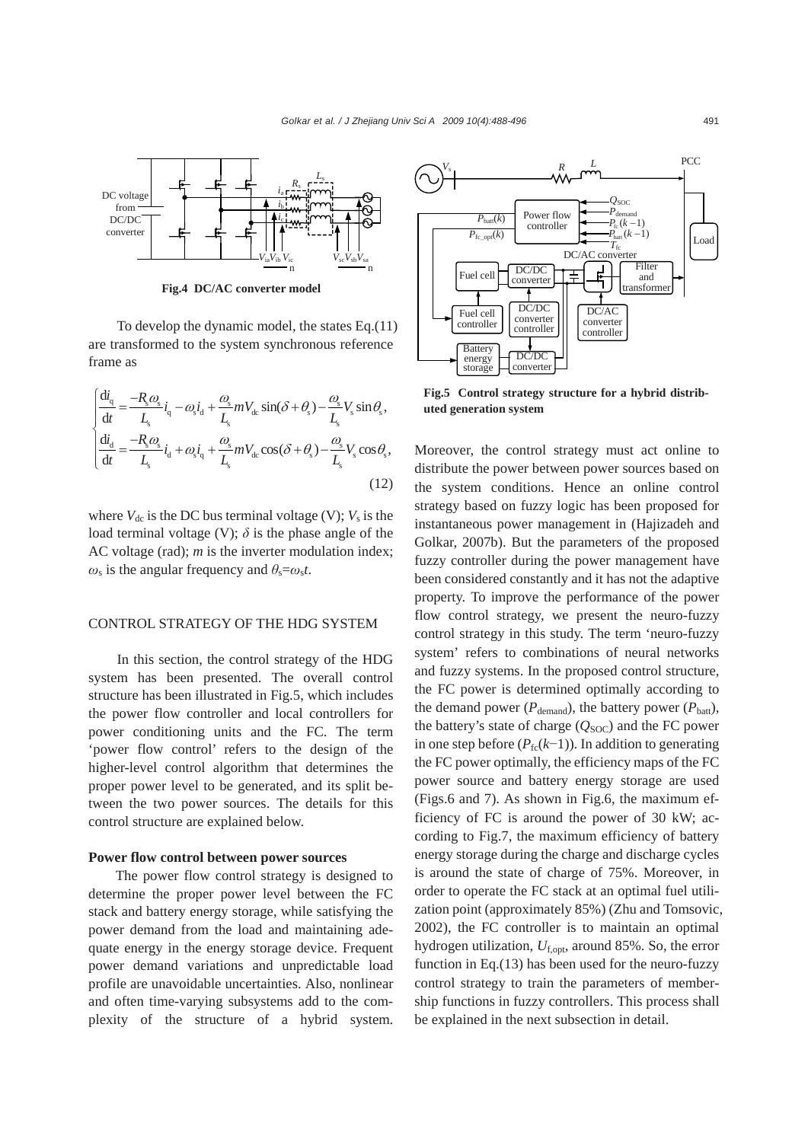

**Fig.4 DC/AC converter model** 

To develop the dynamic model, the states Eq.(11) are transformed to the system synchronous reference frame as

$$
\begin{cases}\n\frac{d\dot{i}_q}{dt} = \frac{-R_s \omega_s}{L_s} \dot{i}_q - \omega_s \dot{i}_d + \frac{\omega_s}{L_s} m V_{dc} \sin(\delta + \theta_s) - \frac{\omega_s}{L_s} V_s \sin \theta_s, \\
\frac{d\dot{i}_d}{dt} = \frac{-R_s \omega_s}{L_s} \dot{i}_d + \omega_s \dot{i}_q + \frac{\omega_s}{L_s} m V_{dc} \cos(\delta + \theta_s) - \frac{\omega_s}{L_s} V_s \cos \theta_s,\n\end{cases} (12)
$$

where  $V_{dc}$  is the DC bus terminal voltage (V);  $V_s$  is the load terminal voltage (V);  $\delta$  is the phase angle of the AC voltage (rad); *m* is the inverter modulation index;  $\omega_s$  is the angular frequency and  $\theta_s = \omega_s t$ .

#### CONTROL STRATEGY OF THE HDG SYSTEM

In this section, the control strategy of the HDG system has been presented. The overall control structure has been illustrated in Fig.5, which includes the power flow controller and local controllers for power conditioning units and the FC. The term 'power flow control' refers to the design of the higher-level control algorithm that determines the proper power level to be generated, and its split between the two power sources. The details for this control structure are explained below.

### **Power flow control between power sources**

The power flow control strategy is designed to determine the proper power level between the FC stack and battery energy storage, while satisfying the power demand from the load and maintaining adequate energy in the energy storage device. Frequent power demand variations and unpredictable load profile are unavoidable uncertainties. Also, nonlinear and often time-varying subsystems add to the complexity of the structure of a hybrid system.

DC/DC Fuel cell  $\Box$  CONVerter Load  $V_s$  **R**  $\frac{L}{2}$  **PCC** DC/AC converter DC/AC converter controller DC/DC converter controller Fuel cell controller  $\frac{1}{DC/DC}$ converter **Battery** energy storage Filter and transformer Power flow controller *Q*SOC *P*<sub>demand</sub>  $T_{\rm fc}$  $P_{\text{fc opt}}(k)$  $P_{\text{batt}}(k)$  Power flow  $P_{\text{f}_k}(k-1)$  $\delta_{\text{aut}}(k-1)$ 

**Fig.5 Control strategy structure for a hybrid distributed generation system** 

Moreover, the control strategy must act online to distribute the power between power sources based on the system conditions. Hence an online control strategy based on fuzzy logic has been proposed for instantaneous power management in (Hajizadeh and Golkar, 2007b). But the parameters of the proposed fuzzy controller during the power management have been considered constantly and it has not the adaptive property. To improve the performance of the power flow control strategy, we present the neuro-fuzzy control strategy in this study. The term 'neuro-fuzzy system' refers to combinations of neural networks and fuzzy systems. In the proposed control structure, the FC power is determined optimally according to the demand power ( $P_{\text{demand}}$ ), the battery power ( $P_{\text{batt}}$ ), the battery's state of charge  $(Q<sub>SOC</sub>)$  and the FC power in one step before  $(P_{fc}(k-1))$ . In addition to generating the FC power optimally, the efficiency maps of the FC power source and battery energy storage are used (Figs.6 and 7). As shown in Fig.6, the maximum efficiency of FC is around the power of 30 kW; according to Fig.7, the maximum efficiency of battery energy storage during the charge and discharge cycles is around the state of charge of 75%. Moreover, in order to operate the FC stack at an optimal fuel utilization point (approximately 85%) (Zhu and Tomsovic, 2002), the FC controller is to maintain an optimal hydrogen utilization,  $U_{\text{font}}$ , around 85%. So, the error function in Eq.(13) has been used for the neuro-fuzzy control strategy to train the parameters of membership functions in fuzzy controllers. This process shall be explained in the next subsection in detail.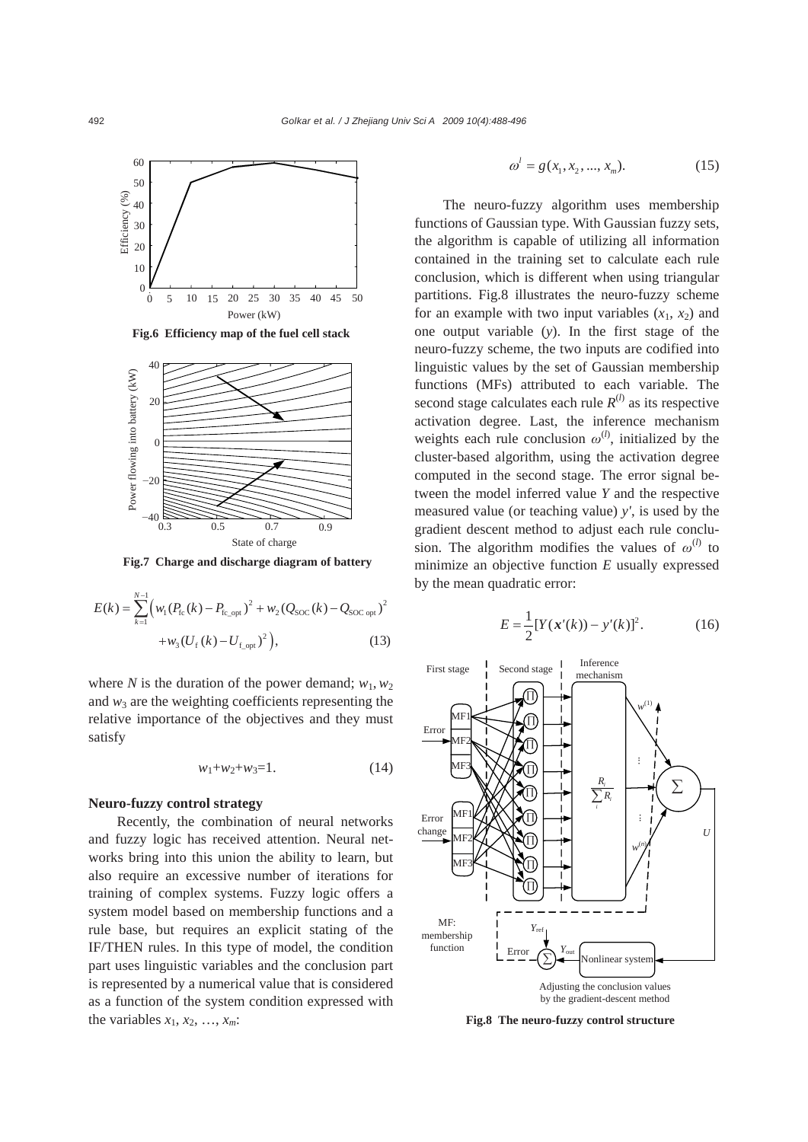

**Fig.6 Efficiency map of the fuel cell stack** 



**Fig.7 Charge and discharge diagram of battery**

$$
E(k) = \sum_{k=1}^{N-1} \left( w_1 (P_{\text{fc}}(k) - P_{\text{fc\_opt}})^2 + w_2 (Q_{\text{SOC}}(k) - Q_{\text{SOC opt}})^2 + w_3 (U_f(k) - U_{\text{f\_opt}})^2 \right),
$$
(13)

where *N* is the duration of the power demand;  $w_1, w_2$ and  $w_3$  are the weighting coefficients representing the relative importance of the objectives and they must satisfy

$$
w_1 + w_2 + w_3 = 1. \tag{14}
$$

## **Neuro-fuzzy control strategy**

Recently, the combination of neural networks and fuzzy logic has received attention. Neural networks bring into this union the ability to learn, but also require an excessive number of iterations for training of complex systems. Fuzzy logic offers a system model based on membership functions and a rule base, but requires an explicit stating of the IF/THEN rules. In this type of model, the condition part uses linguistic variables and the conclusion part is represented by a numerical value that is considered as a function of the system condition expressed with the variables  $x_1, x_2, \ldots, x_m$ :

$$
\omega^l = g(x_1, x_2, ..., x_m). \tag{15}
$$

The neuro-fuzzy algorithm uses membership functions of Gaussian type. With Gaussian fuzzy sets, the algorithm is capable of utilizing all information contained in the training set to calculate each rule conclusion, which is different when using triangular partitions. Fig.8 illustrates the neuro-fuzzy scheme for an example with two input variables  $(x_1, x_2)$  and one output variable (*y*). In the first stage of the neuro-fuzzy scheme, the two inputs are codified into linguistic values by the set of Gaussian membership functions (MFs) attributed to each variable. The second stage calculates each rule  $R^{(l)}$  as its respective activation degree. Last, the inference mechanism weights each rule conclusion  $\omega^{(l)}$ , initialized by the cluster-based algorithm, using the activation degree computed in the second stage. The error signal between the model inferred value *Y* and the respective measured value (or teaching value) *y'*, is used by the gradient descent method to adjust each rule conclusion. The algorithm modifies the values of  $\omega^{(l)}$  to minimize an objective function *E* usually expressed by the mean quadratic error:

$$
E = \frac{1}{2} [Y(x'(k)) - y'(k)]^2.
$$
 (16)



**Fig.8 The neuro-fuzzy control structure**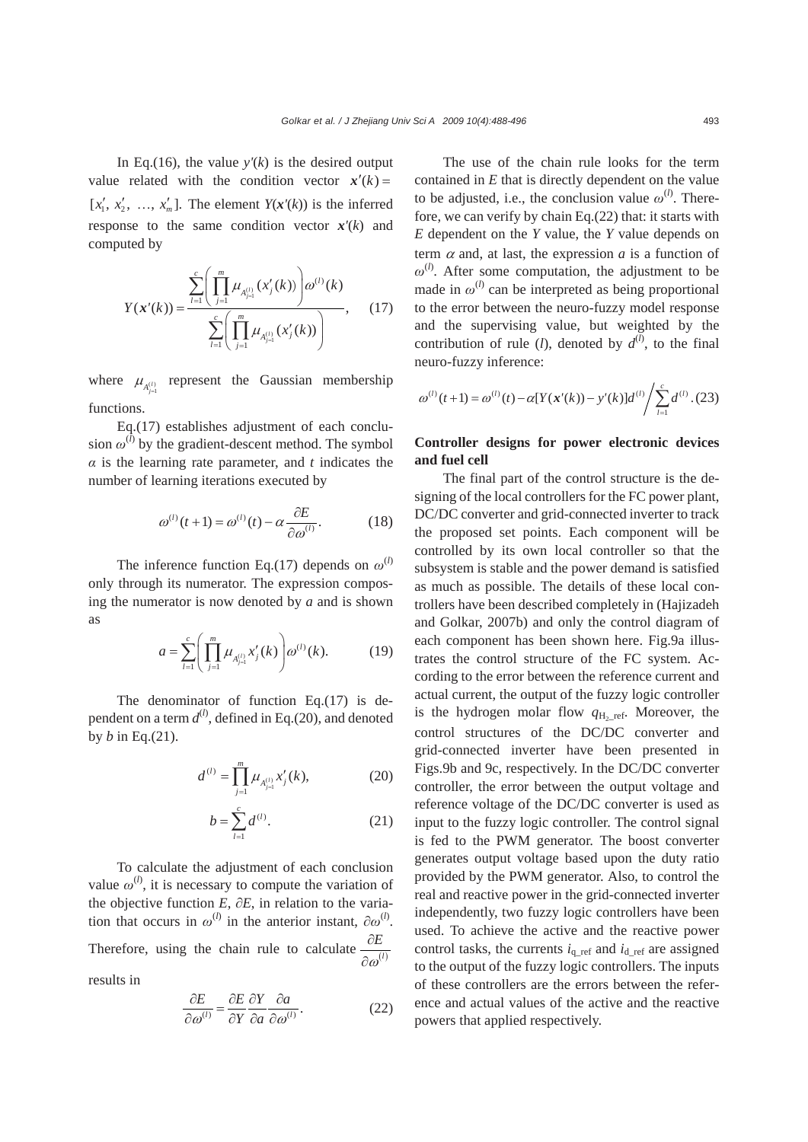In Eq.(16), the value  $y'(k)$  is the desired output value related with the condition vector  $x'(k) =$  $[x'_1, x'_2, \ldots, x'_m]$ . The element  $Y(x'(k))$  is the inferred response to the same condition vector  $x'(k)$  and computed by

$$
Y(\mathbf{x}'(k)) = \frac{\sum_{l=1}^{c} \left( \prod_{j=1}^{m} \mu_{A_{j=1}^{(l)}}(x'_j(k)) \right) \omega^{(l)}(k)}{\sum_{l=1}^{c} \left( \prod_{j=1}^{m} \mu_{A_{j=1}^{(l)}}(x'_j(k)) \right)},
$$
(17)

where  $\mu_{A_{j=1}^{(l)}}$  represent the Gaussian membership 1 functions.

Eq.(17) establishes adjustment of each conclusion  $\omega^{(l)}$  by the gradient-descent method. The symbol  $\alpha$  is the learning rate parameter, and *t* indicates the number of learning iterations executed by

$$
\omega^{(l)}(t+1) = \omega^{(l)}(t) - \alpha \frac{\partial E}{\partial \omega^{(l)}}.
$$
 (18)

The inference function Eq.(17) depends on  $\omega^{(l)}$ only through its numerator. The expression composing the numerator is now denoted by *a* and is shown as

$$
a = \sum_{l=1}^{c} \left( \prod_{j=1}^{m} \mu_{A_{j=l}^{(l)}} x_j'(k) \right) \omega^{(l)}(k). \tag{19}
$$

The denominator of function Eq.(17) is dependent on a term  $d^{(l)}$ , defined in Eq.(20), and denoted by *b* in Eq.(21).

$$
d^{(l)} = \prod_{j=1}^{m} \mu_{A_{j=1}^{(l)}} x_j'(k),
$$
 (20)

$$
b = \sum_{l=1}^{c} d^{(l)}.
$$
 (21)

To calculate the adjustment of each conclusion value  $\omega^{(l)}$ , it is necessary to compute the variation of the objective function *E*, *∂E*, in relation to the variation that occurs in  $\omega^{(l)}$  in the anterior instant,  $\partial \omega^{(l)}$ . Therefore, using the chain rule to calculate  $\frac{\partial E}{\partial |\rho|}$ ω ∂ ∂

results in

$$
\frac{\partial E}{\partial \omega^{(l)}} = \frac{\partial E}{\partial Y} \frac{\partial Y}{\partial a} \frac{\partial a}{\partial \omega^{(l)}}.
$$
 (22)

The use of the chain rule looks for the term contained in *E* that is directly dependent on the value to be adjusted, i.e., the conclusion value  $\omega^{(l)}$ . Therefore, we can verify by chain Eq.(22) that: it starts with *E* dependent on the *Y* value, the *Y* value depends on term  $\alpha$  and, at last, the expression  $\alpha$  is a function of  $\omega^{(l)}$ . After some computation, the adjustment to be made in  $\omega^{(l)}$  can be interpreted as being proportional to the error between the neuro-fuzzy model response and the supervising value, but weighted by the contribution of rule  $(l)$ , denoted by  $d^{(l)}$ , to the final neuro-fuzzy inference:

$$
\omega^{(l)}(t+1) = \omega^{(l)}(t) - \alpha[Y(\mathbf{x}'(k)) - y'(k)]d^{(l)} / \sum_{l=1}^{c} d^{(l)} . (23)
$$

# **Controller designs for power electronic devices and fuel cell**

The final part of the control structure is the designing of the local controllers for the FC power plant, DC/DC converter and grid-connected inverter to track the proposed set points. Each component will be controlled by its own local controller so that the subsystem is stable and the power demand is satisfied as much as possible. The details of these local controllers have been described completely in (Hajizadeh and Golkar, 2007b) and only the control diagram of each component has been shown here. Fig.9a illustrates the control structure of the FC system. According to the error between the reference current and actual current, the output of the fuzzy logic controller is the hydrogen molar flow  $q_{\text{H}_2 \text{ ref}}$ . Moreover, the control structures of the DC/DC converter and grid-connected inverter have been presented in Figs.9b and 9c, respectively. In the DC/DC converter controller, the error between the output voltage and reference voltage of the DC/DC converter is used as input to the fuzzy logic controller. The control signal is fed to the PWM generator. The boost converter generates output voltage based upon the duty ratio provided by the PWM generator. Also, to control the real and reactive power in the grid-connected inverter independently, two fuzzy logic controllers have been used. To achieve the active and the reactive power control tasks, the currents  $i_{q_{\text{ref}}}$  and  $i_{d_{\text{ref}}}$  are assigned to the output of the fuzzy logic controllers. The inputs of these controllers are the errors between the reference and actual values of the active and the reactive powers that applied respectively.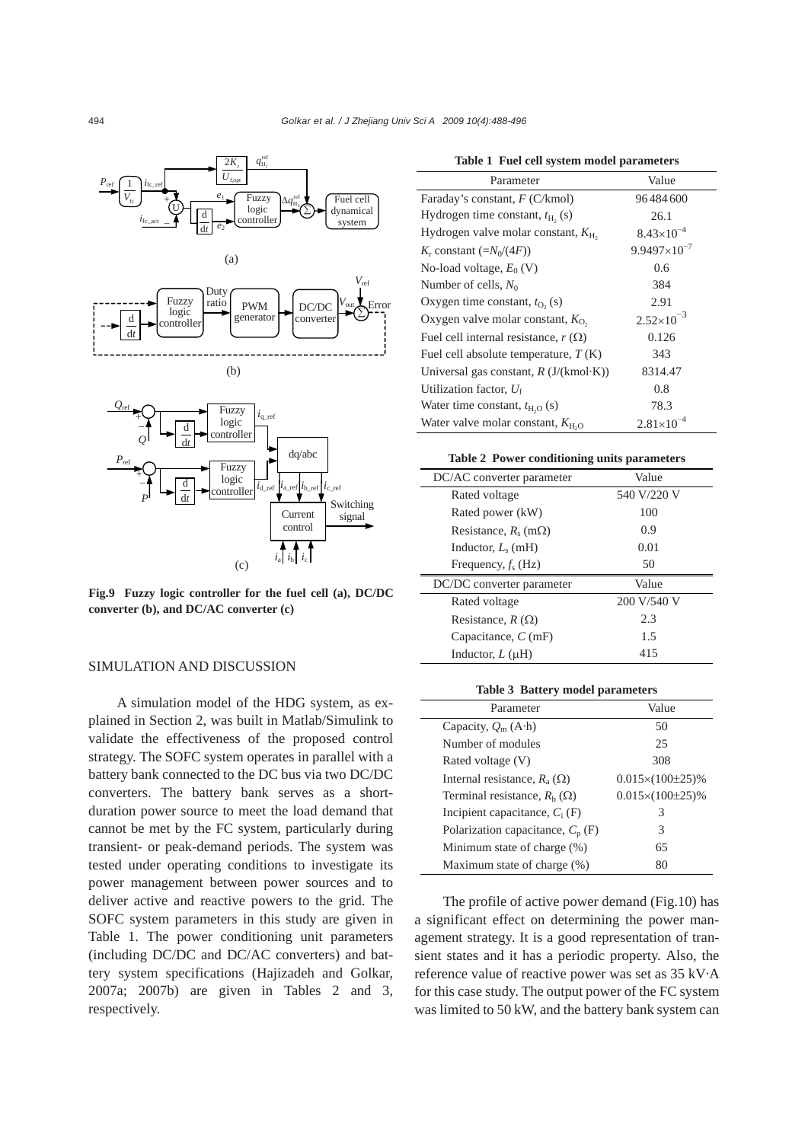

**Fig.9 Fuzzy logic controller for the fuel cell (a), DC/DC converter (b), and DC/AC converter (c)** 

(c)

control

 $\sum_{i_b}$ 

## SIMULATION AND DISCUSSION

A simulation model of the HDG system, as explained in Section 2, was built in Matlab/Simulink to validate the effectiveness of the proposed control strategy. The SOFC system operates in parallel with a battery bank connected to the DC bus via two DC/DC converters. The battery bank serves as a shortduration power source to meet the load demand that cannot be met by the FC system, particularly during transient- or peak-demand periods. The system was tested under operating conditions to investigate its power management between power sources and to deliver active and reactive powers to the grid. The SOFC system parameters in this study are given in Table 1. The power conditioning unit parameters (including DC/DC and DC/AC converters) and battery system specifications (Hajizadeh and Golkar, 2007a; 2007b) are given in Tables 2 and 3, respectively.

|  |  |  |  |  |  | Table 1 Fuel cell system model parameters |
|--|--|--|--|--|--|-------------------------------------------|
|--|--|--|--|--|--|-------------------------------------------|

| Parameter                                       | Value                 |
|-------------------------------------------------|-----------------------|
| Faraday's constant, $F$ (C/kmol)                | 96484600              |
| Hydrogen time constant, $t_{\text{H}_2}$ (s)    | 26.1                  |
| Hydrogen valve molar constant, $K_{\text{H}_2}$ | $8.43\times10^{-4}$   |
| $K_r$ constant $(=\!N_0/(4F))$                  | $9.9497\times10^{-7}$ |
| No-load voltage, $E_0$ (V)                      | 0.6                   |
| Number of cells, $N_0$                          | 384                   |
| Oxygen time constant, $t_{\text{O}_2}$ (s)      | 2.91                  |
| Oxygen valve molar constant, $K_{O_2}$          | $2.52\times10^{-3}$   |
| Fuel cell internal resistance, $r(\Omega)$      | 0.126                 |
| Fuel cell absolute temperature, $T(K)$          | 343                   |
| Universal gas constant, $R(J/(kmol·K))$         | 8314.47               |
| Utilization factor, $U_f$                       | 0.8                   |
| Water time constant, $t_{H,O}(s)$               | 78.3                  |
| Water valve molar constant, $K_{H,O}$           | $2.81\times10^{-4}$   |

|  | Table 2 Power conditioning units parameters |  |  |
|--|---------------------------------------------|--|--|
|--|---------------------------------------------|--|--|

|                                 | o           |
|---------------------------------|-------------|
| DC/AC converter parameter       | Value       |
| Rated voltage                   | 540 V/220 V |
| Rated power (kW)                | 100         |
| Resistance, $R_s$ (m $\Omega$ ) | 0.9         |
| Inductor, $L_s$ (mH)            | 0.01        |
| Frequency, $f_s$ (Hz)           | 50          |
| DC/DC converter parameter       | Value       |
| Rated voltage                   | 200 V/540 V |
| Resistance, $R(\Omega)$         | 2.3         |
| Capacitance, $C(mF)$            | 1.5         |
| Inductor, $L(\mu H)$            | 415         |

|  |  |  | Table 3 Battery model parameters |
|--|--|--|----------------------------------|
|--|--|--|----------------------------------|

| Parameter                           | Value                     |
|-------------------------------------|---------------------------|
| Capacity, $Q_m(A \cdot h)$          | 50                        |
| Number of modules                   | 25                        |
| Rated voltage (V)                   | 308                       |
| Internal resistance, $R_a(\Omega)$  | $0.015\times(100\pm25)\%$ |
| Terminal resistance, $R_h(\Omega)$  | $0.015\times(100\pm25)\%$ |
| Incipient capacitance, $C_i$ (F)    | 3                         |
| Polarization capacitance, $C_p$ (F) | 3                         |
| Minimum state of charge (%)         | 65                        |
| Maximum state of charge (%)         | 80                        |

The profile of active power demand (Fig.10) has a significant effect on determining the power management strategy. It is a good representation of transient states and it has a periodic property. Also, the reference value of reactive power was set as 35 kV·A for this case study. The output power of the FC system was limited to 50 kW, and the battery bank system can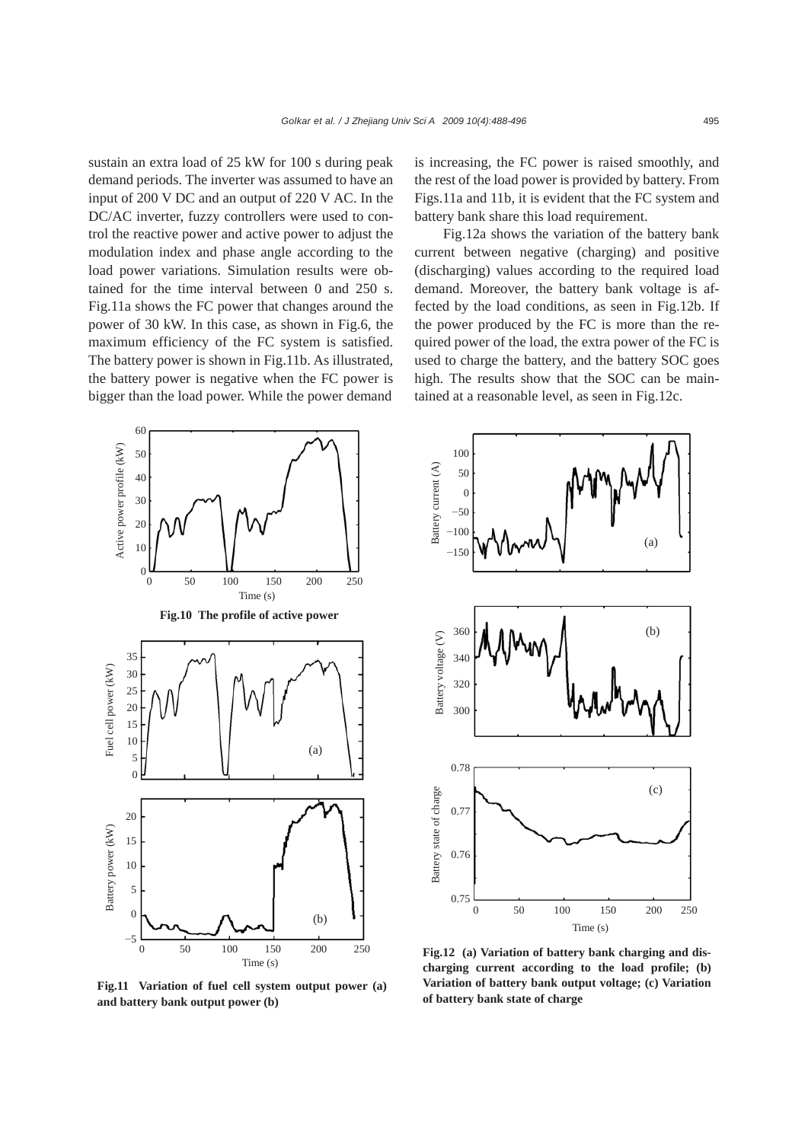sustain an extra load of 25 kW for 100 s during peak demand periods. The inverter was assumed to have an input of 200 V DC and an output of 220 V AC. In the DC/AC inverter, fuzzy controllers were used to control the reactive power and active power to adjust the modulation index and phase angle according to the load power variations. Simulation results were obtained for the time interval between 0 and 250 s. Fig.11a shows the FC power that changes around the power of 30 kW. In this case, as shown in Fig.6, the maximum efficiency of the FC system is satisfied. The battery power is shown in Fig.11b. As illustrated, the battery power is negative when the FC power is bigger than the load power. While the power demand

is increasing, the FC power is raised smoothly, and the rest of the load power is provided by battery. From Figs.11a and 11b, it is evident that the FC system and battery bank share this load requirement.

Fig.12a shows the variation of the battery bank current between negative (charging) and positive (discharging) values according to the required load demand. Moreover, the battery bank voltage is affected by the load conditions, as seen in Fig.12b. If the power produced by the FC is more than the required power of the load, the extra power of the FC is used to charge the battery, and the battery SOC goes high. The results show that the SOC can be maintained at a reasonable level, as seen in Fig.12c.



**Fig.11 Variation of fuel cell system output power (a) and battery bank output power (b)** 



**Fig.12 (a) Variation of battery bank charging and discharging current according to the load profile; (b) Variation of battery bank output voltage; (c) Variation of battery bank state of charge**